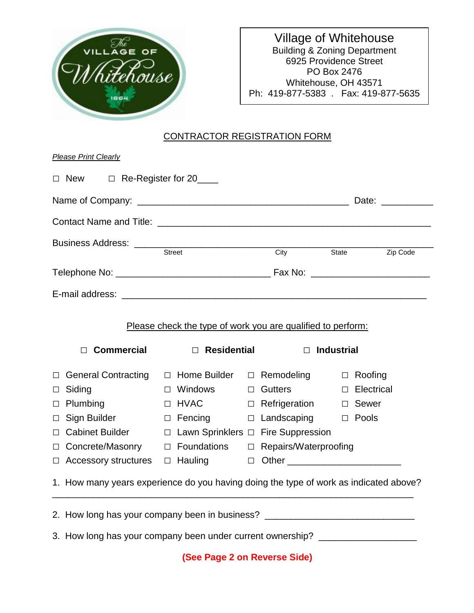

Village of Whitehouse Building & Zoning Department 6925 Providence Street PO Box 2476 Whitehouse, OH 43571 Ph: 419-877-5383 . Fax: 419-877-5635

## CONTRACTOR REGISTRATION FORM

|                                                                              |                                                                                   |  |                         | City State        | Zip Code |
|------------------------------------------------------------------------------|-----------------------------------------------------------------------------------|--|-------------------------|-------------------|----------|
|                                                                              |                                                                                   |  |                         |                   |          |
|                                                                              |                                                                                   |  |                         |                   |          |
|                                                                              |                                                                                   |  |                         |                   |          |
| <b>Commercial</b><br>П                                                       | Please check the type of work you are qualified to perform:<br>$\Box$ Residential |  |                         | $\Box$ Industrial |          |
| <b>General Contracting</b>                                                   | $\Box$ Home Builder $\Box$ Remodeling $\Box$ Roofing                              |  |                         |                   |          |
| Siding                                                                       | $\Box$ Windows                                                                    |  | □ Gutters               | D Electrical      |          |
| Plumbing                                                                     | $\Box$ HVAC                                                                       |  | □ Refrigeration □ Sewer |                   |          |
| Sign Builder Sign                                                            | $\Box$ Fencing $\Box$ Landscaping $\Box$ Pools                                    |  |                         |                   |          |
| <b>Cabinet Builder</b>                                                       | $\Box$ Lawn Sprinklers $\Box$ Fire Suppression                                    |  |                         |                   |          |
| $\Box$<br>$\Box$<br>$\Box$<br>$\Box$<br>$\Box$<br>Concrete/Masonry<br>$\Box$ | □ Foundations □ Repairs/Waterproofing                                             |  |                         |                   |          |

3. How long has your company been under current ownership? \_\_\_\_\_\_\_\_\_\_\_\_\_\_\_\_\_\_\_\_\_

**(See Page 2 on Reverse Side)**

2. How long has your company been in business? \_\_\_\_\_\_\_\_\_\_\_\_\_\_\_\_\_\_\_\_\_\_\_\_\_\_\_\_\_\_\_\_\_